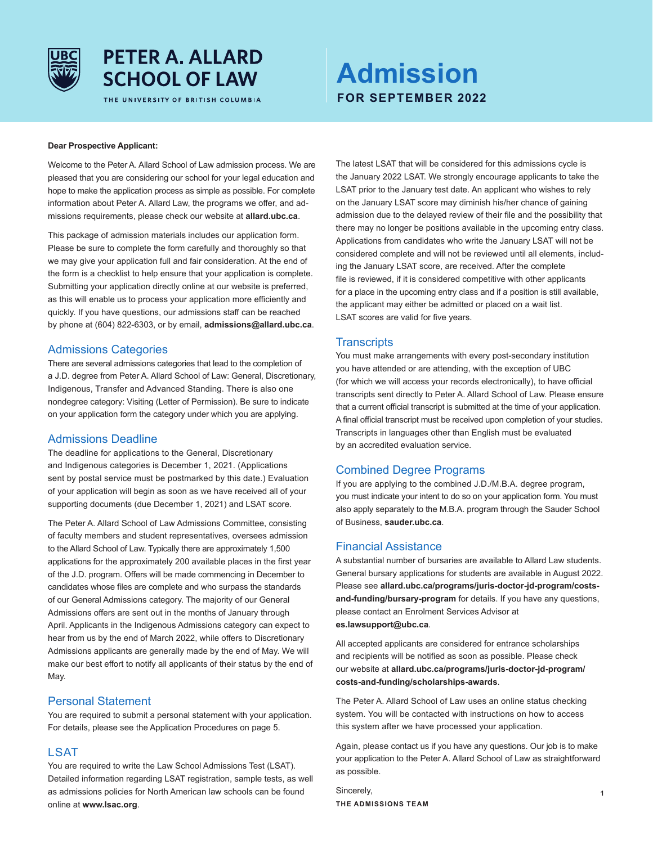

## **PETER A. ALLARD SCHOOL OF LAW**

THE UNIVERSITY OF BRITISH COLUMBIA

# **Admission FOR SEPTEMBER 2022**

#### **Dear Prospective Applicant:**

Welcome to the Peter A. Allard School of Law admission process. We are pleased that you are considering our school for your legal education and hope to make the application process as simple as possible. For complete information about Peter A. Allard Law, the programs we offer, and admissions requirements, please check our website at **allard.ubc.ca**.

This package of admission materials includes our application form. Please be sure to complete the form carefully and thoroughly so that we may give your application full and fair consideration. At the end of the form is a checklist to help ensure that your application is complete. Submitting your application directly online at our website is preferred, as this will enable us to process your application more efficiently and quickly. If you have questions, our admissions staff can be reached by phone at (604) 822-6303, or by email, **admissions@allard.ubc.ca**.

## Admissions Categories

There are several admissions categories that lead to the completion of a J.D. degree from Peter A. Allard School of Law: General, Discretionary, Indigenous, Transfer and Advanced Standing. There is also one nondegree category: Visiting (Letter of Permission). Be sure to indicate on your application form the category under which you are applying.

## Admissions Deadline

The deadline for applications to the General, Discretionary and Indigenous categories is December 1, 2021. (Applications sent by postal service must be postmarked by this date.) Evaluation of your application will begin as soon as we have received all of your supporting documents (due December 1, 2021) and LSAT score.

The Peter A. Allard School of Law Admissions Committee, consisting of faculty members and student representatives, oversees admission to the Allard School of Law. Typically there are approximately 1,500 applications for the approximately 200 available places in the first year of the J.D. program. Offers will be made commencing in December to candidates whose files are complete and who surpass the standards of our General Admissions category. The majority of our General Admissions offers are sent out in the months of January through April. Applicants in the Indigenous Admissions category can expect to hear from us by the end of March 2022, while offers to Discretionary Admissions applicants are generally made by the end of May. We will make our best effort to notify all applicants of their status by the end of May.

#### Personal Statement

You are required to submit a personal statement with your application. For details, please see the Application Procedures on page 5.

## **LSAT**

You are required to write the Law School Admissions Test (LSAT). Detailed information regarding LSAT registration, sample tests, as well as admissions policies for North American law schools can be found online at **www.lsac.org**.

The latest LSAT that will be considered for this admissions cycle is the January 2022 LSAT. We strongly encourage applicants to take the LSAT prior to the January test date. An applicant who wishes to rely on the January LSAT score may diminish his/her chance of gaining admission due to the delayed review of their file and the possibility that there may no longer be positions available in the upcoming entry class. Applications from candidates who write the January LSAT will not be considered complete and will not be reviewed until all elements, including the January LSAT score, are received. After the complete file is reviewed, if it is considered competitive with other applicants for a place in the upcoming entry class and if a position is still available, the applicant may either be admitted or placed on a wait list. LSAT scores are valid for five years.

## **Transcripts**

You must make arrangements with every post-secondary institution you have attended or are attending, with the exception of UBC (for which we will access your records electronically), to have official transcripts sent directly to Peter A. Allard School of Law. Please ensure that a current official transcript is submitted at the time of your application. A final official transcript must be received upon completion of your studies. Transcripts in languages other than English must be evaluated by an accredited evaluation service.

## Combined Degree Programs

If you are applying to the combined J.D./M.B.A. degree program, you must indicate your intent to do so on your application form. You must also apply separately to the M.B.A. program through the Sauder School of Business, **sauder.ubc.ca**.

## Financial Assistance

A substantial number of bursaries are available to Allard Law students. General bursary applications for students are available in August 2022. Please see **allard.ubc.ca/programs/juris-doctor-jd-program/costsand-funding/bursary-program** for details. If you have any questions, please contact an Enrolment Services Advisor at **es.lawsupport@ubc.ca**.

All accepted applicants are considered for entrance scholarships and recipients will be notified as soon as possible. Please check our website at **allard.ubc.ca/programs/juris-doctor-jd-program/ costs-and-funding/scholarships-awards**.

The Peter A. Allard School of Law uses an online status checking system. You will be contacted with instructions on how to access this system after we have processed your application.

Again, please contact us if you have any questions. Our job is to make your application to the Peter A. Allard School of Law as straightforward as possible.

Sincerely, **THE ADMISSIONS TEAM**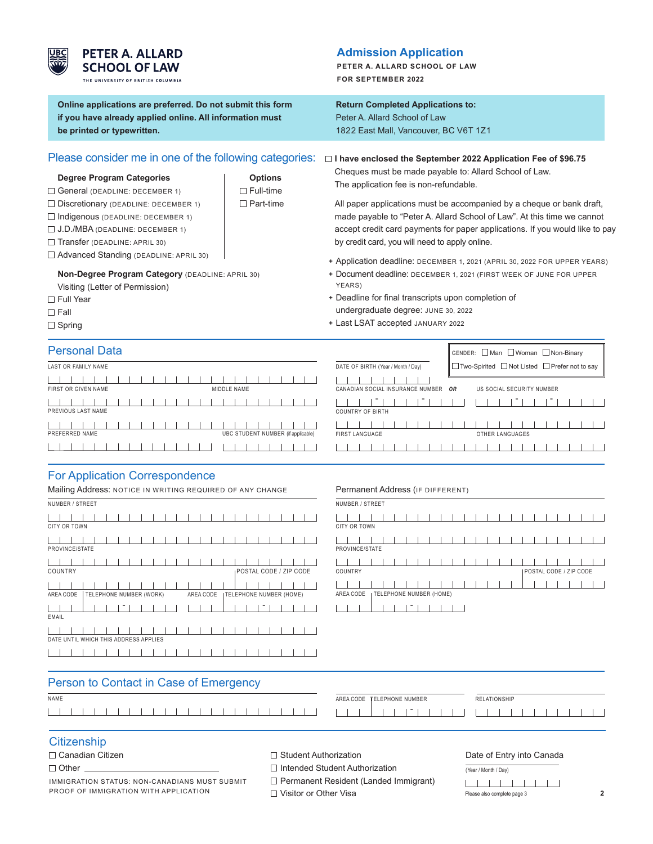

## **PETER A. ALLARD SCHOOL OF LAW**

THE UNIVERSITY OF BRITISH COLUMBIA

**Online applications are preferred. Do not submit this form if you have already applied online. All information must be printed or typewritten.**

## Please consider me in one of the following categories:

#### **Degree Program Categories Canadian Algebra 1 Algebra 2 Deptions**

- $\Box$  General (DEADLINE: DECEMBER 1)  $\Box$  Full-time
- $\Box$  Discretionary (DEADLINE: DECEMBER 1)  $\Box$  Part-time
- $\Box$  Indigenous (DEADLINE: DECEMBER 1)
- J.D./MBA (DEADLINE: DECEMBER 1)
- Transfer (DEADLINE: APRIL 30)
- Advanced Standing (DEADLINE: APRIL 30)

**Non-Degree Program Category** (DEADLINE: APRIL 30)

- Visiting (Letter of Permission)
- □ Full Year
- $\square$  Fall
- $\Box$  Spring

## **Admission Application**

**PETER A. ALLARD SCHOOL OF LAW FOR SEPTEMBER 2022**

## **Return Completed Applications to:**

Peter A. Allard School of Law 1822 East Mall, Vancouver, BC V6T 1Z1

 **I have enclosed the September 2022 Application Fee of \$96.75**

Cheques must be made payable to: Allard School of Law. The application fee is non-refundable.

 All paper applications must be accompanied by a cheque or bank draft, made payable to "Peter A. Allard School of Law". At this time we cannot accept credit card payments for paper applications. If you would like to pay by credit card, you will need to apply online.

- **+** Application deadline: DECEMBER 1, 2021 (APRIL 30, 2022 FOR UPPER YEARS)
- **+** Document deadline: DECEMBER 1, 2021 (FIRST WEEK OF JUNE FOR UPPER YEARS)
- **+** Deadline for final transcripts upon completion of undergraduate degree: JUNE 30, 2022
- **+** Last LSAT accepted JANUARY 2022

| <b>Personal Data</b> |  |  |  |  |             |  |  |  |                                    |
|----------------------|--|--|--|--|-------------|--|--|--|------------------------------------|
| LAST OR FAMILY NAME  |  |  |  |  |             |  |  |  |                                    |
| FIRST OR GIVEN NAME  |  |  |  |  | MIDDLE NAME |  |  |  |                                    |
| PREVIOUS LAST NAME   |  |  |  |  |             |  |  |  |                                    |
| PREFERRED NAME       |  |  |  |  |             |  |  |  | UBC STUDENT NUMBER (if applicable) |
|                      |  |  |  |  |             |  |  |  |                                    |

|                                    |     | GENDER: □ Man □ Woman □ Non-Binary              |  |
|------------------------------------|-----|-------------------------------------------------|--|
| DATE OF BIRTH (Year / Month / Day) |     | □ Two-Spirited □ Not Listed □ Prefer not to say |  |
| CANADIAN SOCIAL INSURANCE NUMBER   | OR. | US SOCIAL SECURITY NUMBER                       |  |
| <b>COUNTRY OF BIRTH</b>            |     |                                                 |  |
|                                    |     |                                                 |  |
| FIRST LANGUAGE                     |     | OTHER LANGUAGES                                 |  |
|                                    |     |                                                 |  |

## For Application Correspondence

| Mailing Address: NOTICE IN WRITING REQUIRED OF ANY CHANGE |  |  |  |  |  |  |                         |  |           |  |                                  |  |  |  |                        |  |
|-----------------------------------------------------------|--|--|--|--|--|--|-------------------------|--|-----------|--|----------------------------------|--|--|--|------------------------|--|
| NUMBER / STREET                                           |  |  |  |  |  |  |                         |  |           |  |                                  |  |  |  |                        |  |
|                                                           |  |  |  |  |  |  |                         |  |           |  |                                  |  |  |  |                        |  |
| <b>CITY OR TOWN</b>                                       |  |  |  |  |  |  |                         |  |           |  |                                  |  |  |  |                        |  |
|                                                           |  |  |  |  |  |  |                         |  |           |  |                                  |  |  |  |                        |  |
| PROVINCE/STATE                                            |  |  |  |  |  |  |                         |  |           |  |                                  |  |  |  |                        |  |
|                                                           |  |  |  |  |  |  |                         |  |           |  |                                  |  |  |  |                        |  |
| COUNTRY                                                   |  |  |  |  |  |  |                         |  |           |  |                                  |  |  |  | POSTAL CODE / ZIP CODE |  |
|                                                           |  |  |  |  |  |  |                         |  |           |  |                                  |  |  |  |                        |  |
| AREA CODE                                                 |  |  |  |  |  |  | TELEPHONE NUMBER (WORK) |  | AREA CODE |  | <b>I TELEPHONE NUMBER (HOME)</b> |  |  |  |                        |  |
|                                                           |  |  |  |  |  |  |                         |  |           |  |                                  |  |  |  |                        |  |
| EMAIL                                                     |  |  |  |  |  |  |                         |  |           |  |                                  |  |  |  |                        |  |
|                                                           |  |  |  |  |  |  |                         |  |           |  |                                  |  |  |  |                        |  |
| DATE UNTIL WHICH THIS ADDRESS APPLIES                     |  |  |  |  |  |  |                         |  |           |  |                                  |  |  |  |                        |  |
|                                                           |  |  |  |  |  |  |                         |  |           |  |                                  |  |  |  |                        |  |
|                                                           |  |  |  |  |  |  |                         |  |           |  |                                  |  |  |  |                        |  |

#### Permanent Address (IF DIFFERENT)

| NUMBER / STREET                                   |                        |
|---------------------------------------------------|------------------------|
| <b>CITY OR TOWN</b>                               |                        |
| PROVINCE/STATE                                    |                        |
| COUNTRY                                           | POSTAL CODE / ZIP CODE |
| <sub>I</sub> TELEPHONE NUMBER (HOME)<br>AREA CODE |                        |
|                                                   |                        |

| Person to Contact in Case of Emergency |                                   |              |
|----------------------------------------|-----------------------------------|--------------|
| <b>NAME</b>                            | AREA CODE <b>TELEPHONE NUMBER</b> | RELATIONSHIP |
|                                        |                                   |              |

## **Citizenship**

 $\Box$  Other  $\Box$ 

IMMIGRATION STATUS: NON-CANADIANS MUST SUBMIT PROOF OF IMMIGRATION WITH APPLICATION

 $\Box$  Student Authorization

□ Intended Student Authorization

□ Permanent Resident (Landed Immigrant)

□ Visitor or Other Visa

Date of Entry into Canada

| (Year / Month / Day)        |  |  |  |
|-----------------------------|--|--|--|
| .                           |  |  |  |
| Please also complete page 3 |  |  |  |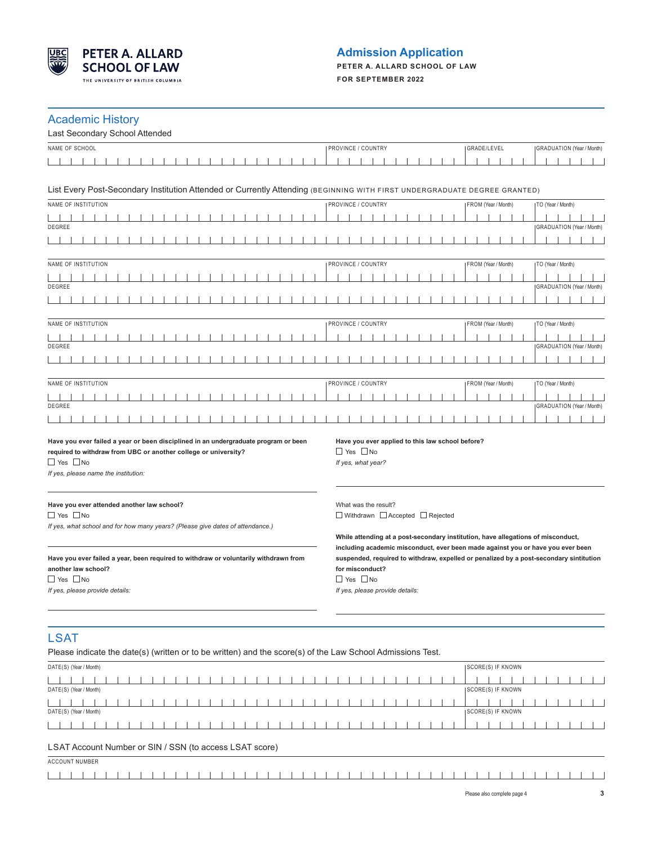

## **Admission Application**

**PETER A. ALLARD SCHOOL OF LAW FOR SEPTEMBER 2022**

## Academic History

| 1.0499111011100111<br>Last Secondary School Attended                                                                                                                                                                   |                                                                                                                                                                                                                                                         |                                  |  |  |  |  |  |  |  |  |
|------------------------------------------------------------------------------------------------------------------------------------------------------------------------------------------------------------------------|---------------------------------------------------------------------------------------------------------------------------------------------------------------------------------------------------------------------------------------------------------|----------------------------------|--|--|--|--|--|--|--|--|
| NAME OF SCHOOL                                                                                                                                                                                                         | PROVINCE / COUNTRY<br>GRADE/LEVEL                                                                                                                                                                                                                       | <b>GRADUATION</b> (Year / Month) |  |  |  |  |  |  |  |  |
|                                                                                                                                                                                                                        |                                                                                                                                                                                                                                                         |                                  |  |  |  |  |  |  |  |  |
| List Every Post-Secondary Institution Attended or Currently Attending (BEGINNING WITH FIRST UNDERGRADUATE DEGREE GRANTED)                                                                                              |                                                                                                                                                                                                                                                         |                                  |  |  |  |  |  |  |  |  |
| NAME OF INSTITUTION                                                                                                                                                                                                    | PROVINCE / COUNTRY<br>FROM (Year / Month)                                                                                                                                                                                                               | TO (Year / Month)                |  |  |  |  |  |  |  |  |
|                                                                                                                                                                                                                        |                                                                                                                                                                                                                                                         |                                  |  |  |  |  |  |  |  |  |
| DEGREE                                                                                                                                                                                                                 |                                                                                                                                                                                                                                                         | <b>GRADUATION</b> (Year / Month) |  |  |  |  |  |  |  |  |
|                                                                                                                                                                                                                        |                                                                                                                                                                                                                                                         |                                  |  |  |  |  |  |  |  |  |
| NAME OF INSTITUTION                                                                                                                                                                                                    | PROVINCE / COUNTRY<br>FROM (Year / Month)                                                                                                                                                                                                               | TO (Year / Month)                |  |  |  |  |  |  |  |  |
| DEGREE                                                                                                                                                                                                                 |                                                                                                                                                                                                                                                         | <b>GRADUATION</b> (Year / Month) |  |  |  |  |  |  |  |  |
|                                                                                                                                                                                                                        |                                                                                                                                                                                                                                                         |                                  |  |  |  |  |  |  |  |  |
| NAME OF INSTITUTION                                                                                                                                                                                                    | PROVINCE / COUNTRY<br>FROM (Year / Month)                                                                                                                                                                                                               | TO (Year / Month)                |  |  |  |  |  |  |  |  |
|                                                                                                                                                                                                                        |                                                                                                                                                                                                                                                         |                                  |  |  |  |  |  |  |  |  |
| DEGREE                                                                                                                                                                                                                 |                                                                                                                                                                                                                                                         | <b>GRADUATION</b> (Year / Month) |  |  |  |  |  |  |  |  |
|                                                                                                                                                                                                                        |                                                                                                                                                                                                                                                         |                                  |  |  |  |  |  |  |  |  |
| NAME OF INSTITUTION                                                                                                                                                                                                    | PROVINCE / COUNTRY<br>FROM (Year / Month)                                                                                                                                                                                                               | TO (Year / Month)                |  |  |  |  |  |  |  |  |
| DEGREE                                                                                                                                                                                                                 |                                                                                                                                                                                                                                                         | <b>GRADUATION</b> (Year / Month) |  |  |  |  |  |  |  |  |
|                                                                                                                                                                                                                        |                                                                                                                                                                                                                                                         |                                  |  |  |  |  |  |  |  |  |
| Have you ever failed a year or been disciplined in an undergraduate program or been<br>required to withdraw from UBC or another college or university?<br>$\Box$ Yes $\Box$ No<br>If yes, please name the institution: | Have you ever applied to this law school before?<br>$\Box$ Yes $\Box$ No<br>If yes, what year?                                                                                                                                                          |                                  |  |  |  |  |  |  |  |  |
| Have you ever attended another law school?<br>$\Box$ Yes $\Box$ No<br>If yes, what school and for how many years? (Please give dates of attendance.)                                                                   | What was the result?<br>$\Box$ Withdrawn $\Box$ Accepted $\Box$ Rejected<br>While attending at a post-secondary institution, have allegations of misconduct,                                                                                            |                                  |  |  |  |  |  |  |  |  |
| Have you ever failed a year, been required to withdraw or voluntarily withdrawn from<br>another law school?<br>$\Box$ Yes $\Box$ No<br>If yes, please provide details:                                                 | including academic misconduct, ever been made against you or have you ever been<br>suspended, required to withdraw, expelled or penalized by a post-secondary sintitution<br>for misconduct?<br>$\Box$ Yes $\Box$ No<br>If yes, please provide details: |                                  |  |  |  |  |  |  |  |  |
| <b>LSAT</b><br>Please indicate the date(s) (written or to be written) and the score(s) of the Law School Admissions Test.                                                                                              |                                                                                                                                                                                                                                                         |                                  |  |  |  |  |  |  |  |  |
| DATE(S) (Year / Month)                                                                                                                                                                                                 | <b>SCORE(S) IF KNOWN</b>                                                                                                                                                                                                                                |                                  |  |  |  |  |  |  |  |  |

| DATE(S) (Year / Month)                                  | SCORE(S) IF KNOWN         |
|---------------------------------------------------------|---------------------------|
|                                                         |                           |
| DATE(S) (Year / Month)                                  | <b>ISCORE(S) IF KNOWN</b> |
|                                                         |                           |
|                                                         |                           |
| LSAT Account Number or SIN / SSN (to access LSAT score) |                           |
| ACCOUNT NUMBER                                          |                           |
|                                                         |                           |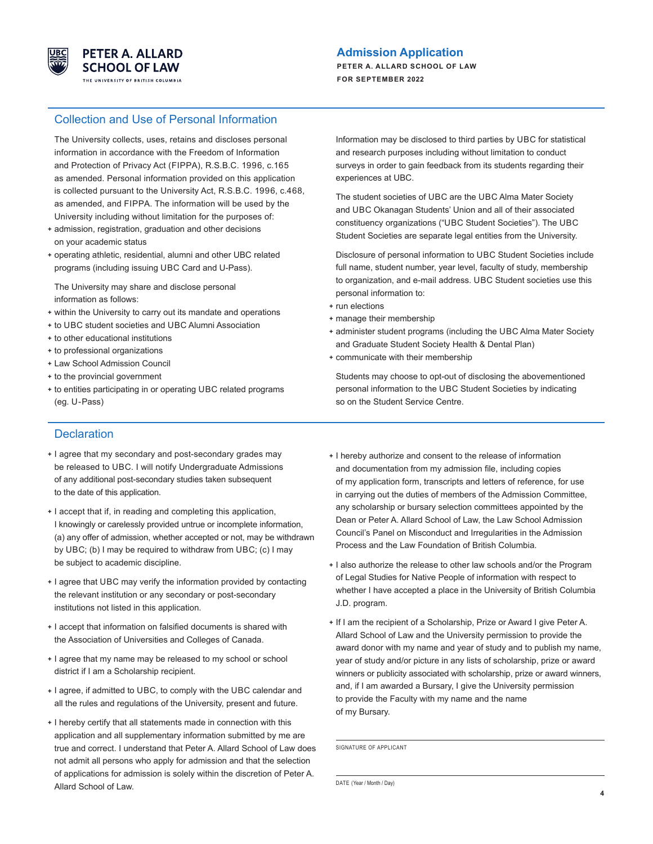

## **Admission Application**

**PETER A. ALLARD SCHOOL OF LAW FOR SEPTEMBER 2022**

#### Collection and Use of Personal Information

 The University collects, uses, retains and discloses personal information in accordance with the Freedom of Information and Protection of Privacy Act (FIPPA), R.S.B.C. 1996, c.165 as amended. Personal information provided on this application is collected pursuant to the University Act, R.S.B.C. 1996, c.468, as amended, and FIPPA. The information will be used by the University including without limitation for the purposes of:

- **+** admission, registration, graduation and other decisions on your academic status
- **+** operating athletic, residential, alumni and other UBC related programs (including issuing UBC Card and U-Pass).

 The University may share and disclose personal information as follows:

- **+** within the University to carry out its mandate and operations
- **+** to UBC student societies and UBC Alumni Association
- **+** to other educational institutions
- **+** to professional organizations
- **+** Law School Admission Council
- **+** to the provincial government
- **+** to entities participating in or operating UBC related programs (eg. U-Pass)

**Declaration** 

- **+** I agree that my secondary and post-secondary grades may be released to UBC. I will notify Undergraduate Admissions of any additional post-secondary studies taken subsequent to the date of this application.
- **+** I accept that if, in reading and completing this application, I knowingly or carelessly provided untrue or incomplete information, (a) any offer of admission, whether accepted or not, may be withdrawn by UBC; (b) I may be required to withdraw from UBC; (c) I may be subject to academic discipline.
- **+** I agree that UBC may verify the information provided by contacting the relevant institution or any secondary or post-secondary institutions not listed in this application.
- **+** I accept that information on falsified documents is shared with the Association of Universities and Colleges of Canada.
- **+** I agree that my name may be released to my school or school district if I am a Scholarship recipient.
- **+** I agree, if admitted to UBC, to comply with the UBC calendar and all the rules and regulations of the University, present and future.
- **+** I hereby certify that all statements made in connection with this application and all supplementary information submitted by me are true and correct. I understand that Peter A. Allard School of Law does not admit all persons who apply for admission and that the selection of applications for admission is solely within the discretion of Peter A. Allard School of Law.

 Information may be disclosed to third parties by UBC for statistical and research purposes including without limitation to conduct surveys in order to gain feedback from its students regarding their experiences at UBC.

 The student societies of UBC are the UBC Alma Mater Society and UBC Okanagan Students' Union and all of their associated constituency organizations ("UBC Student Societies"). The UBC Student Societies are separate legal entities from the University.

 Disclosure of personal information to UBC Student Societies include full name, student number, year level, faculty of study, membership to organization, and e-mail address. UBC Student societies use this personal information to:

- **+** run elections
- **+** manage their membership
- **+** administer student programs (including the UBC Alma Mater Society and Graduate Student Society Health & Dental Plan)
- **+** communicate with their membership

 Students may choose to opt-out of disclosing the abovementioned personal information to the UBC Student Societies by indicating so on the Student Service Centre.

- **+** I hereby authorize and consent to the release of information and documentation from my admission file, including copies of my application form, transcripts and letters of reference, for use in carrying out the duties of members of the Admission Committee, any scholarship or bursary selection committees appointed by the Dean or Peter A. Allard School of Law, the Law School Admission Council's Panel on Misconduct and Irregularities in the Admission Process and the Law Foundation of British Columbia.
- **+** I also authorize the release to other law schools and/or the Program of Legal Studies for Native People of information with respect to whether I have accepted a place in the University of British Columbia J.D. program.
- **+** If I am the recipient of a Scholarship, Prize or Award I give Peter A. Allard School of Law and the University permission to provide the award donor with my name and year of study and to publish my name, year of study and/or picture in any lists of scholarship, prize or award winners or publicity associated with scholarship, prize or award winners, and, if I am awarded a Bursary, I give the University permission to provide the Faculty with my name and the name of my Bursary.

SIGNATURE OF APPLICANT

DATE (Year / Month / Day)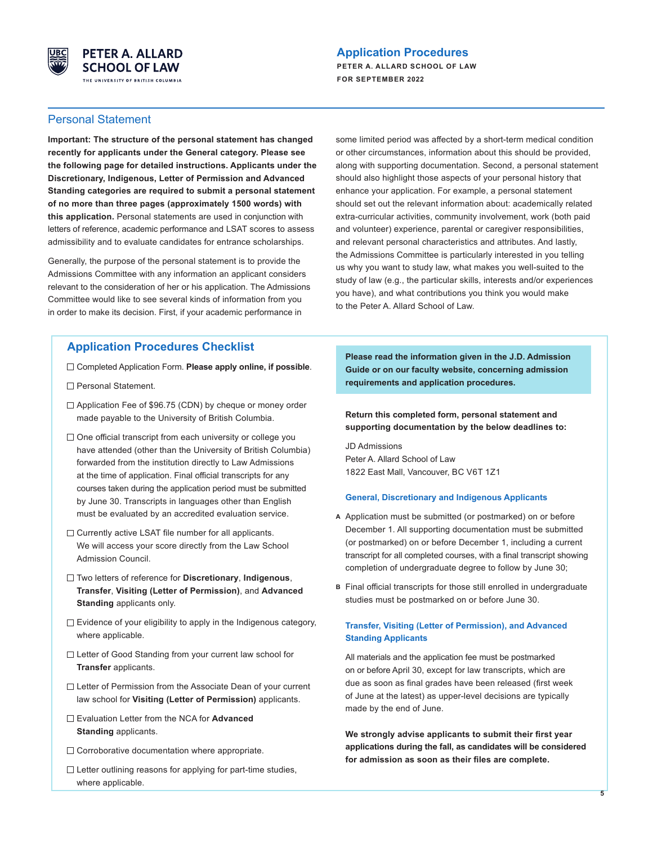

#### **Application Procedures**

**PETER A. ALLARD SCHOOL OF LAW FOR SEPTEMBER 2022**

#### Personal Statement

**Important: The structure of the personal statement has changed recently for applicants under the General category. Please see the following page for detailed instructions. Applicants under the Discretionary, Indigenous, Letter of Permission and Advanced Standing categories are required to submit a personal statement of no more than three pages (approximately 1500 words) with this application.** Personal statements are used in conjunction with letters of reference, academic performance and LSAT scores to assess admissibility and to evaluate candidates for entrance scholarships.

Generally, the purpose of the personal statement is to provide the Admissions Committee with any information an applicant considers relevant to the consideration of her or his application. The Admissions Committee would like to see several kinds of information from you in order to make its decision. First, if your academic performance in

#### **Application Procedures Checklist**

- Completed Application Form. **Please apply online, if possible**.
- □ Personal Statement.
- □ Application Fee of \$96.75 (CDN) by cheque or money order made payable to the University of British Columbia.
- □ One official transcript from each university or college you have attended (other than the University of British Columbia) forwarded from the institution directly to Law Admissions at the time of application. Final official transcripts for any courses taken during the application period must be submitted by June 30. Transcripts in languages other than English must be evaluated by an accredited evaluation service.
- $\Box$  Currently active LSAT file number for all applicants. We will access your score directly from the Law School Admission Council.
- Two letters of reference for **Discretionary**, **Indigenous**, **Transfer**, **Visiting (Letter of Permission)**, and **Advanced Standing** applicants only.
- $\Box$  Evidence of your eligibility to apply in the Indigenous category, where applicable.
- □ Letter of Good Standing from your current law school for **Transfer** applicants.
- □ Letter of Permission from the Associate Dean of your current law school for **Visiting (Letter of Permission)** applicants.
- Evaluation Letter from the NCA for **Advanced Standing** applicants.
- $\Box$  Corroborative documentation where appropriate.
- $\Box$  Letter outlining reasons for applying for part-time studies, where applicable.

some limited period was affected by a short-term medical condition or other circumstances, information about this should be provided, along with supporting documentation. Second, a personal statement should also highlight those aspects of your personal history that enhance your application. For example, a personal statement should set out the relevant information about: academically related extra-curricular activities, community involvement, work (both paid and volunteer) experience, parental or caregiver responsibilities, and relevant personal characteristics and attributes. And lastly, the Admissions Committee is particularly interested in you telling us why you want to study law, what makes you well-suited to the study of law (e.g., the particular skills, interests and/or experiences you have), and what contributions you think you would make to the Peter A. Allard School of Law.

 **Please read the information given in the J.D. Admission Guide or on our faculty website, concerning admission requirements and application procedures.** 

 **Return this completed form, personal statement and supporting documentation by the below deadlines to:** 

JD Admissions Peter A. Allard School of Law 1822 East Mall, Vancouver, BC V6T 1Z1

#### **General, Discretionary and Indigenous Applicants**

- **A** Application must be submitted (or postmarked) on or before December 1. All supporting documentation must be submitted (or postmarked) on or before December 1, including a current transcript for all completed courses, with a final transcript showing completion of undergraduate degree to follow by June 30;
- **B** Final official transcripts for those still enrolled in undergraduate studies must be postmarked on or before June 30.

#### **Transfer, Visiting (Letter of Permission), and Advanced Standing Applicants**

 All materials and the application fee must be postmarked on or before April 30, except for law transcripts, which are due as soon as final grades have been released (first week of June at the latest) as upper-level decisions are typically made by the end of June.

**We strongly advise applicants to submit their first year applications during the fall, as candidates will be considered for admission as soon as their files are complete.**